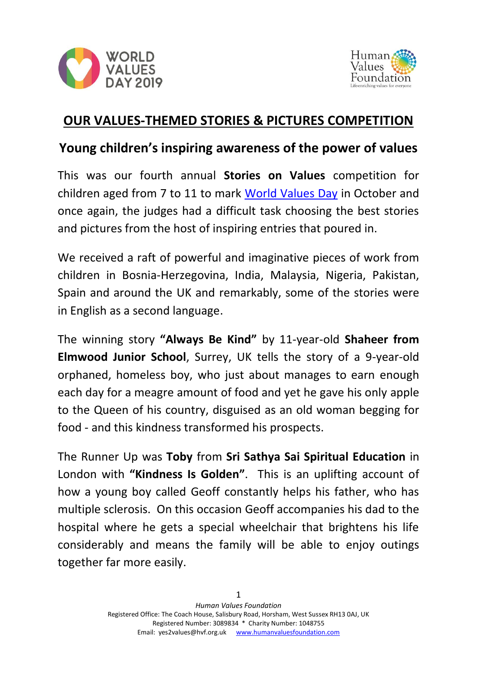



## **OUR VALUES-THEMED STORIES & PICTURES COMPETITION**

# **Young children's inspiring awareness of the power of values**

This was our fourth annual **Stories on Values** competition for children aged from 7 to 11 to mark [World Values Day](http://www.worldvaluesday.com/) in October and once again, the judges had a difficult task choosing the best stories and pictures from the host of inspiring entries that poured in.

We received a raft of powerful and imaginative pieces of work from children in Bosnia-Herzegovina, India, Malaysia, Nigeria, Pakistan, Spain and around the UK and remarkably, some of the stories were in English as a second language.

The winning story **"Always Be Kind"** by 11-year-old **Shaheer from Elmwood Junior School**, Surrey, UK tells the story of a 9-year-old orphaned, homeless boy, who just about manages to earn enough each day for a meagre amount of food and yet he gave his only apple to the Queen of his country, disguised as an old woman begging for food - and this kindness transformed his prospects.

The Runner Up was **Toby** from **Sri Sathya Sai Spiritual Education** in London with **"Kindness Is Golden"**. This is an uplifting account of how a young boy called Geoff constantly helps his father, who has multiple sclerosis. On this occasion Geoff accompanies his dad to the hospital where he gets a special wheelchair that brightens his life considerably and means the family will be able to enjoy outings together far more easily.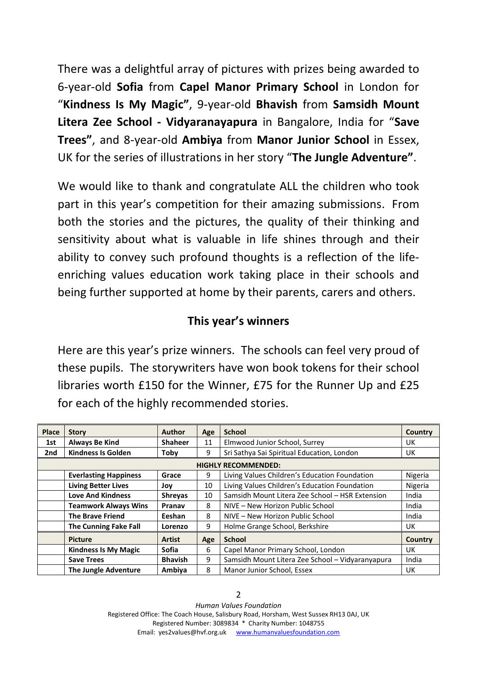There was a delightful array of pictures with prizes being awarded to 6-year-old **Sofia** from **Capel Manor Primary School** in London for "**Kindness Is My Magic"**, 9-year-old **Bhavish** from **Samsidh Mount Litera Zee School - Vidyaranayapura** in Bangalore, India for "**Save Trees"**, and 8-year-old **Ambiya** from **Manor Junior School** in Essex, UK for the series of illustrations in her story "**The Jungle Adventure"**.

We would like to thank and congratulate ALL the children who took part in this year's competition for their amazing submissions. From both the stories and the pictures, the quality of their thinking and sensitivity about what is valuable in life shines through and their ability to convey such profound thoughts is a reflection of the lifeenriching values education work taking place in their schools and being further supported at home by their parents, carers and others.

#### **This year's winners**

Here are this year's prize winners. The schools can feel very proud of these pupils. The storywriters have won book tokens for their school libraries worth £150 for the Winner, £75 for the Runner Up and £25 for each of the highly recommended stories.

| <b>Place</b>               | <b>Story</b>                 | Author         | Age | <b>School</b>                                    | Country |
|----------------------------|------------------------------|----------------|-----|--------------------------------------------------|---------|
| 1st                        | <b>Always Be Kind</b>        | <b>Shaheer</b> | 11  | Elmwood Junior School, Surrey                    | UK      |
| 2nd                        | <b>Kindness Is Golden</b>    | Toby           | 9   | Sri Sathya Sai Spiritual Education, London       | UK      |
| <b>HIGHLY RECOMMENDED:</b> |                              |                |     |                                                  |         |
|                            | <b>Everlasting Happiness</b> | Grace          | 9   | Living Values Children's Education Foundation    | Nigeria |
|                            | <b>Living Better Lives</b>   | Joy            | 10  | Living Values Children's Education Foundation    | Nigeria |
|                            | <b>Love And Kindness</b>     | <b>Shreyas</b> | 10  | Samsidh Mount Litera Zee School - HSR Extension  | India   |
|                            | <b>Teamwork Always Wins</b>  | Pranav         | 8   | NIVE - New Horizon Public School                 | India   |
|                            | <b>The Brave Friend</b>      | Eeshan         | 8   | NIVE - New Horizon Public School                 | India   |
|                            | <b>The Cunning Fake Fall</b> | Lorenzo        | 9   | Holme Grange School, Berkshire                   | UK      |
|                            | <b>Picture</b>               | Artist         | Age | <b>School</b>                                    | Country |
|                            | <b>Kindness Is My Magic</b>  | <b>Sofia</b>   | 6   | Capel Manor Primary School, London               | UK      |
|                            | <b>Save Trees</b>            | <b>Bhavish</b> | 9   | Samsidh Mount Litera Zee School - Vidyaranyapura | India   |
|                            | <b>The Jungle Adventure</b>  | Ambiya         | 8   | Manor Junior School, Essex                       | UK      |